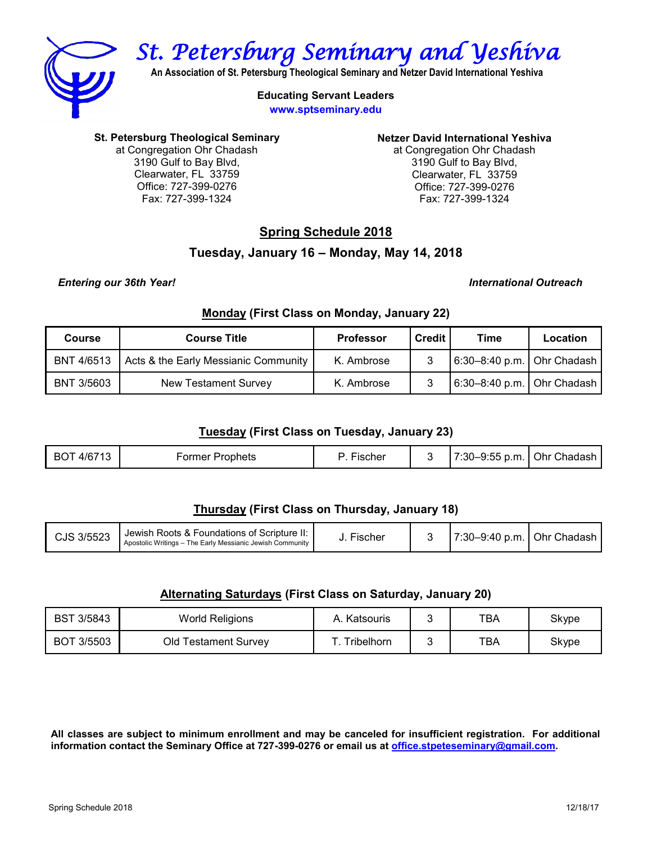

*St. Petersburg Seminary and Yeshiva* 

**An Association of St. Petersburg Theological Seminary and Netzer David International Yeshiva**

**Educating Servant Leaders www.sptseminary.edu**

**St. Petersburg Theological Seminary** 

at Congregation Ohr Chadash 3190 Gulf to Bay Blvd, Clearwater, FL 33759 Office: 727-399-0276 Fax: 727-399-1324

**Netzer David International Yeshiva**

at Congregation Ohr Chadash 3190 Gulf to Bay Blvd, Clearwater, FL 33759 Office: 727-399-0276 Fax: 727-399-1324

# **Spring Schedule 2018**

# **Tuesday, January 16 – Monday, May 14, 2018**

### *Entering our 36th Year! International Outreach*

## **Monday (First Class on Monday, January 22)**

| Course            | <b>Course Title</b>                  | <b>Professor</b> | Credit | Time                         | Location |
|-------------------|--------------------------------------|------------------|--------|------------------------------|----------|
| BNT 4/6513        | Acts & the Early Messianic Community | K. Ambrose       |        | 6:30-8:40 p.m.   Ohr Chadash |          |
| <b>BNT 3/5603</b> | <b>New Testament Survey</b>          | K. Ambrose       |        | 6:30-8:40 p.m.   Ohr Chadash |          |

## **Tuesday (First Class on Tuesday, January 23)**

| Prophets<br>rischer<br>-ormer<br>D.M. | 4/6713<br>BO <sub>1</sub> |  |  |  | 7:30-9:55 | I Ohr Chadash |
|---------------------------------------|---------------------------|--|--|--|-----------|---------------|
|---------------------------------------|---------------------------|--|--|--|-----------|---------------|

# **Thursday (First Class on Thursday, January 18)**

| CJS 3/5523 | Jewish Roots & Foundations of Scripture II:<br>Apostolic Writings – The Early Messianic Jewish Community | Fischer |  | 7:30-9:40 p.m.   Ohr Chadash |  |
|------------|----------------------------------------------------------------------------------------------------------|---------|--|------------------------------|--|
|------------|----------------------------------------------------------------------------------------------------------|---------|--|------------------------------|--|

# **Alternating Saturdays (First Class on Saturday, January 20)**

| <b>BST 3/5843</b> | <b>World Religions</b>      | Katsouris  | TBA | Skype |
|-------------------|-----------------------------|------------|-----|-------|
| BOT 3/5503        | <b>Old Testament Survey</b> | Fribelhorn | TBA | Skype |

**All classes are subject to minimum enrollment and may be canceled for insufficient registration. For additional information contact the Seminary Office at 727-399-0276 or email us at [office.stpeteseminary@gmail.com.](mailto:office.stpeteseminary@gmail.com)**